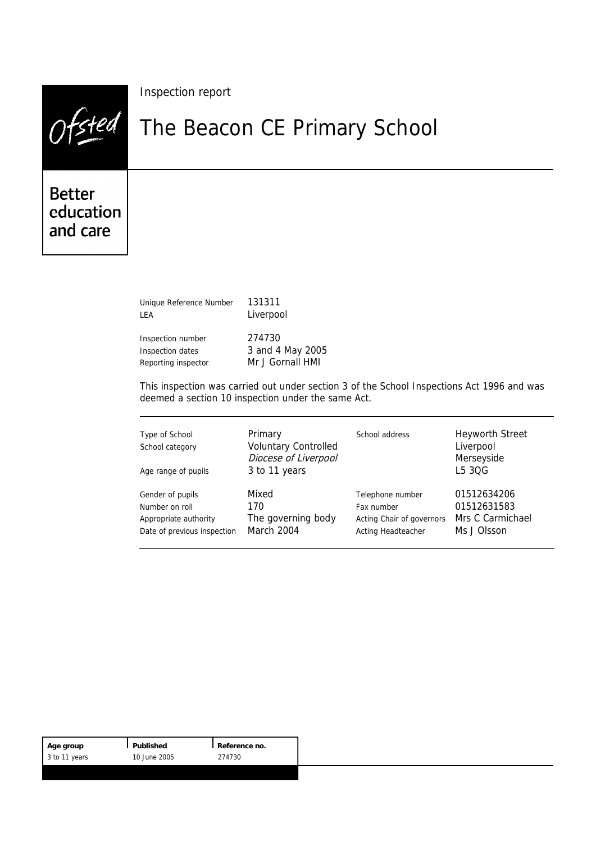|                                        | Inspection report            |
|----------------------------------------|------------------------------|
| stea                                   | The Beacon CE Primary School |
| <b>Better</b><br>education<br>and care |                              |

| Unique Reference Number | 131311           |  |
|-------------------------|------------------|--|
| LEA                     | Liverpool        |  |
| Inspection number       | 274730           |  |
| Inspection dates        | 3 and 4 May 2005 |  |
| Reporting inspector     | Mr J Gornall HMI |  |

This inspection was carried out under section 3 of the School Inspections Act 1996 and was deemed a section 10 inspection under the same Act.

| Type of School<br>School category<br>Age range of pupils | Primary<br><b>Voluntary Controlled</b><br>Diocese of Liverpool<br>3 to 11 years | School address            | <b>Heyworth Street</b><br>Liverpool<br>Merseyside<br>L5 30G |
|----------------------------------------------------------|---------------------------------------------------------------------------------|---------------------------|-------------------------------------------------------------|
| Gender of pupils                                         | Mixed                                                                           | Telephone number          | 01512634206                                                 |
| Number on roll                                           | 170                                                                             | Fax number                | 01512631583                                                 |
| Appropriate authority                                    | The governing body                                                              | Acting Chair of governors | Mrs C Carmichael                                            |
| Date of previous inspection                              | March 2004                                                                      | Acting Headteacher        | Ms J Olsson                                                 |

| Age group     | Published    | Reference no. |
|---------------|--------------|---------------|
| 3 to 11 years | 10 June 2005 | 274730        |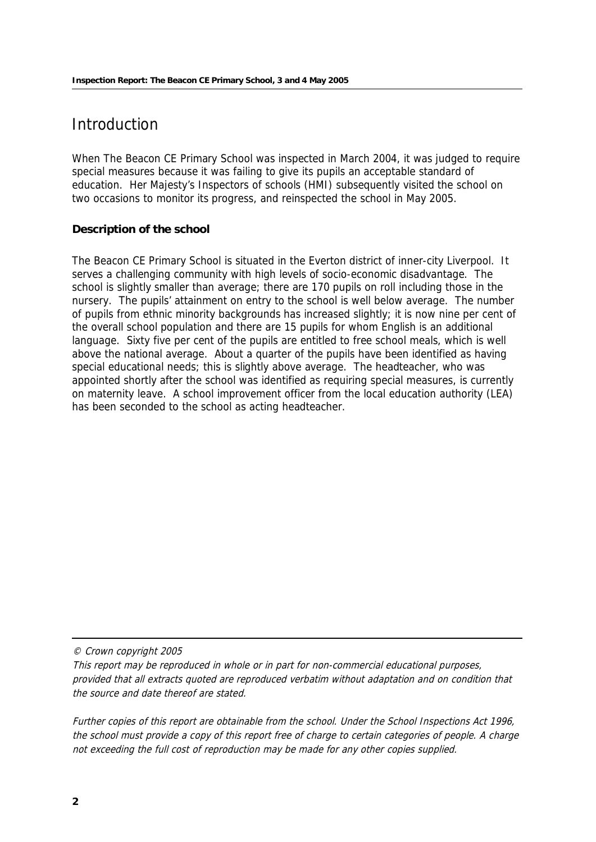# **Introduction**

When The Beacon CE Primary School was inspected in March 2004, it was judged to require special measures because it was failing to give its pupils an acceptable standard of education. Her Majesty's Inspectors of schools (HMI) subsequently visited the school on two occasions to monitor its progress, and reinspected the school in May 2005.

#### **Description of the school**

The Beacon CE Primary School is situated in the Everton district of inner-city Liverpool. It serves a challenging community with high levels of socio-economic disadvantage. The school is slightly smaller than average; there are 170 pupils on roll including those in the nursery. The pupils' attainment on entry to the school is well below average. The number of pupils from ethnic minority backgrounds has increased slightly; it is now nine per cent of the overall school population and there are 15 pupils for whom English is an additional language. Sixty five per cent of the pupils are entitled to free school meals, which is well above the national average. About a quarter of the pupils have been identified as having special educational needs; this is slightly above average. The headteacher, who was appointed shortly after the school was identified as requiring special measures, is currently on maternity leave. A school improvement officer from the local education authority (LEA) has been seconded to the school as acting headteacher.

© Crown copyright 2005

This report may be reproduced in whole or in part for non-commercial educational purposes, provided that all extracts quoted are reproduced verbatim without adaptation and on condition that the source and date thereof are stated.

Further copies of this report are obtainable from the school. Under the School Inspections Act 1996, the school must provide a copy of this report free of charge to certain categories of people. A charge not exceeding the full cost of reproduction may be made for any other copies supplied.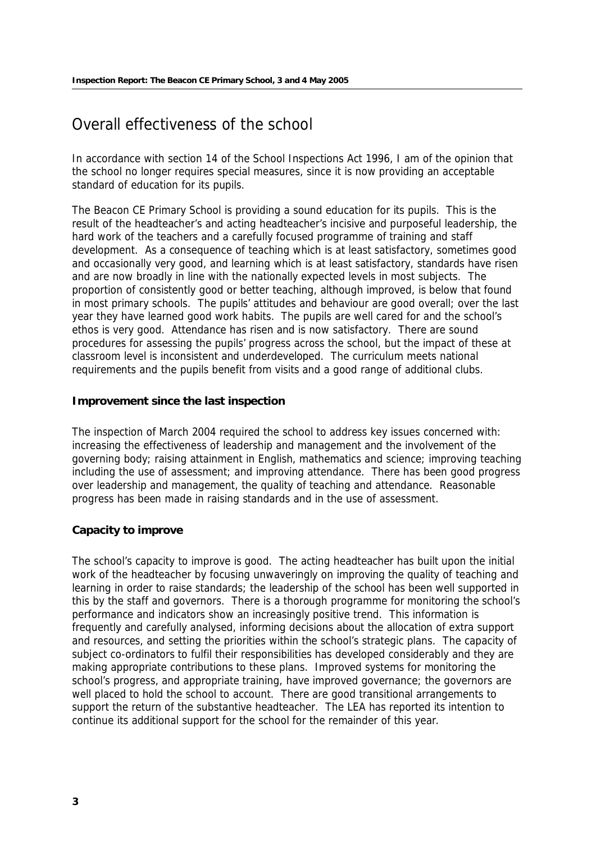## Overall effectiveness of the school

In accordance with section 14 of the School Inspections Act 1996, I am of the opinion that the school no longer requires special measures, since it is now providing an acceptable standard of education for its pupils.

The Beacon CE Primary School is providing a sound education for its pupils. This is the result of the headteacher's and acting headteacher's incisive and purposeful leadership, the hard work of the teachers and a carefully focused programme of training and staff development. As a consequence of teaching which is at least satisfactory, sometimes good and occasionally very good, and learning which is at least satisfactory, standards have risen and are now broadly in line with the nationally expected levels in most subjects. The proportion of consistently good or better teaching, although improved, is below that found in most primary schools. The pupils' attitudes and behaviour are good overall; over the last year they have learned good work habits. The pupils are well cared for and the school's ethos is very good. Attendance has risen and is now satisfactory. There are sound procedures for assessing the pupils' progress across the school, but the impact of these at classroom level is inconsistent and underdeveloped. The curriculum meets national requirements and the pupils benefit from visits and a good range of additional clubs.

#### **Improvement since the last inspection**

The inspection of March 2004 required the school to address key issues concerned with: increasing the effectiveness of leadership and management and the involvement of the governing body; raising attainment in English, mathematics and science; improving teaching including the use of assessment; and improving attendance. There has been good progress over leadership and management, the quality of teaching and attendance. Reasonable progress has been made in raising standards and in the use of assessment.

#### **Capacity to improve**

The school's capacity to improve is good. The acting headteacher has built upon the initial work of the headteacher by focusing unwaveringly on improving the quality of teaching and learning in order to raise standards; the leadership of the school has been well supported in this by the staff and governors. There is a thorough programme for monitoring the school's performance and indicators show an increasingly positive trend. This information is frequently and carefully analysed, informing decisions about the allocation of extra support and resources, and setting the priorities within the school's strategic plans. The capacity of subject co-ordinators to fulfil their responsibilities has developed considerably and they are making appropriate contributions to these plans. Improved systems for monitoring the school's progress, and appropriate training, have improved governance; the governors are well placed to hold the school to account. There are good transitional arrangements to support the return of the substantive headteacher. The LEA has reported its intention to continue its additional support for the school for the remainder of this year.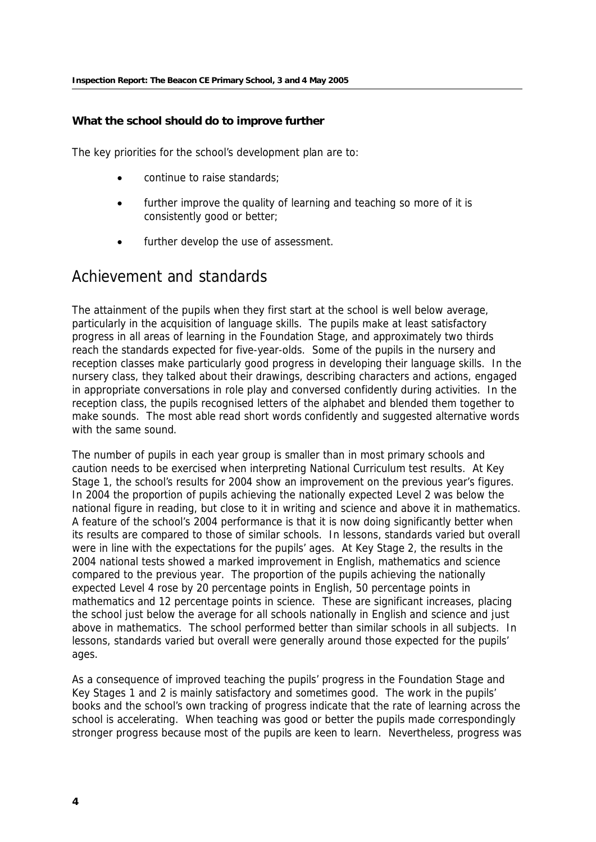**What the school should do to improve further**

The key priorities for the school's development plan are to:

- continue to raise standards;
- further improve the quality of learning and teaching so more of it is consistently good or better;
- further develop the use of assessment.

## Achievement and standards

The attainment of the pupils when they first start at the school is well below average, particularly in the acquisition of language skills. The pupils make at least satisfactory progress in all areas of learning in the Foundation Stage, and approximately two thirds reach the standards expected for five-year-olds. Some of the pupils in the nursery and reception classes make particularly good progress in developing their language skills. In the nursery class, they talked about their drawings, describing characters and actions, engaged in appropriate conversations in role play and conversed confidently during activities. In the reception class, the pupils recognised letters of the alphabet and blended them together to make sounds. The most able read short words confidently and suggested alternative words with the same sound.

The number of pupils in each year group is smaller than in most primary schools and caution needs to be exercised when interpreting National Curriculum test results. At Key Stage 1, the school's results for 2004 show an improvement on the previous year's figures. In 2004 the proportion of pupils achieving the nationally expected Level 2 was below the national figure in reading, but close to it in writing and science and above it in mathematics. A feature of the school's 2004 performance is that it is now doing significantly better when its results are compared to those of similar schools. In lessons, standards varied but overall were in line with the expectations for the pupils' ages. At Key Stage 2, the results in the 2004 national tests showed a marked improvement in English, mathematics and science compared to the previous year. The proportion of the pupils achieving the nationally expected Level 4 rose by 20 percentage points in English, 50 percentage points in mathematics and 12 percentage points in science. These are significant increases, placing the school just below the average for all schools nationally in English and science and just above in mathematics. The school performed better than similar schools in all subjects. In lessons, standards varied but overall were generally around those expected for the pupils' ages.

As a consequence of improved teaching the pupils' progress in the Foundation Stage and Key Stages 1 and 2 is mainly satisfactory and sometimes good. The work in the pupils' books and the school's own tracking of progress indicate that the rate of learning across the school is accelerating. When teaching was good or better the pupils made correspondingly stronger progress because most of the pupils are keen to learn. Nevertheless, progress was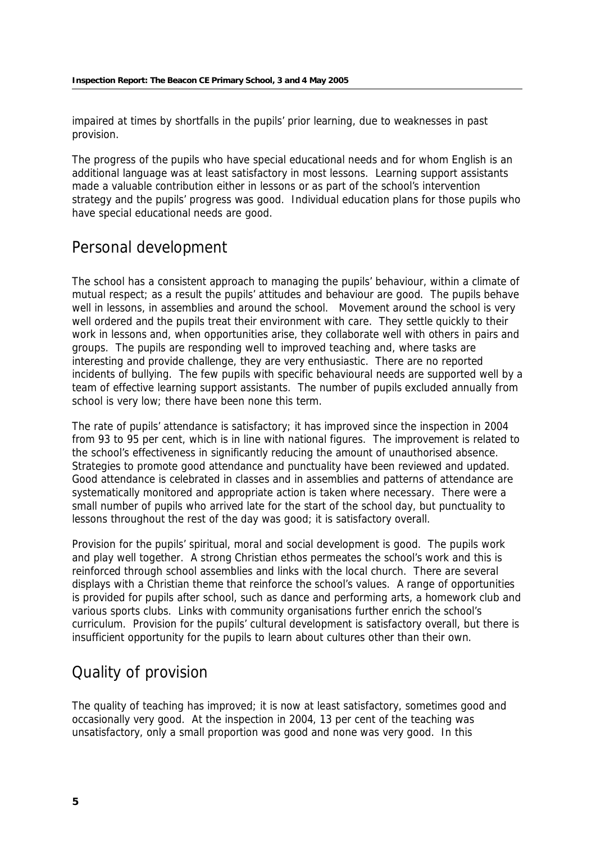impaired at times by shortfalls in the pupils' prior learning, due to weaknesses in past provision.

The progress of the pupils who have special educational needs and for whom English is an additional language was at least satisfactory in most lessons. Learning support assistants made a valuable contribution either in lessons or as part of the school's intervention strategy and the pupils' progress was good. Individual education plans for those pupils who have special educational needs are good.

## Personal development

The school has a consistent approach to managing the pupils' behaviour, within a climate of mutual respect; as a result the pupils' attitudes and behaviour are good. The pupils behave well in lessons, in assemblies and around the school. Movement around the school is very well ordered and the pupils treat their environment with care. They settle quickly to their work in lessons and, when opportunities arise, they collaborate well with others in pairs and groups. The pupils are responding well to improved teaching and, where tasks are interesting and provide challenge, they are very enthusiastic. There are no reported incidents of bullying. The few pupils with specific behavioural needs are supported well by a team of effective learning support assistants. The number of pupils excluded annually from school is very low; there have been none this term.

The rate of pupils' attendance is satisfactory; it has improved since the inspection in 2004 from 93 to 95 per cent, which is in line with national figures. The improvement is related to the school's effectiveness in significantly reducing the amount of unauthorised absence. Strategies to promote good attendance and punctuality have been reviewed and updated. Good attendance is celebrated in classes and in assemblies and patterns of attendance are systematically monitored and appropriate action is taken where necessary. There were a small number of pupils who arrived late for the start of the school day, but punctuality to lessons throughout the rest of the day was good; it is satisfactory overall.

Provision for the pupils' spiritual, moral and social development is good. The pupils work and play well together. A strong Christian ethos permeates the school's work and this is reinforced through school assemblies and links with the local church. There are several displays with a Christian theme that reinforce the school's values. A range of opportunities is provided for pupils after school, such as dance and performing arts, a homework club and various sports clubs. Links with community organisations further enrich the school's curriculum. Provision for the pupils' cultural development is satisfactory overall, but there is insufficient opportunity for the pupils to learn about cultures other than their own.

# Quality of provision

The quality of teaching has improved; it is now at least satisfactory, sometimes good and occasionally very good. At the inspection in 2004, 13 per cent of the teaching was unsatisfactory, only a small proportion was good and none was very good. In this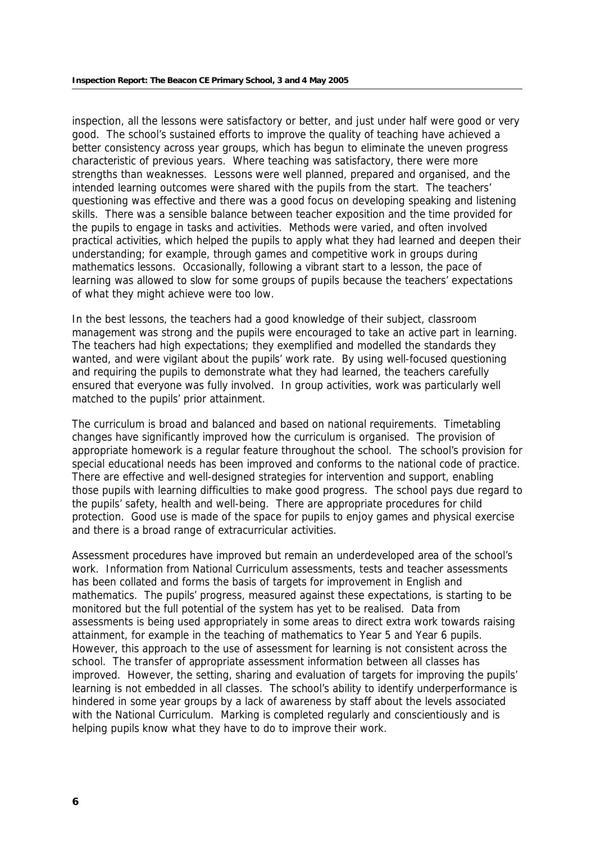inspection, all the lessons were satisfactory or better, and just under half were good or very good. The school's sustained efforts to improve the quality of teaching have achieved a better consistency across year groups, which has begun to eliminate the uneven progress characteristic of previous years. Where teaching was satisfactory, there were more strengths than weaknesses. Lessons were well planned, prepared and organised, and the intended learning outcomes were shared with the pupils from the start. The teachers' questioning was effective and there was a good focus on developing speaking and listening skills. There was a sensible balance between teacher exposition and the time provided for the pupils to engage in tasks and activities. Methods were varied, and often involved practical activities, which helped the pupils to apply what they had learned and deepen their understanding; for example, through games and competitive work in groups during mathematics lessons. Occasionally, following a vibrant start to a lesson, the pace of learning was allowed to slow for some groups of pupils because the teachers' expectations of what they might achieve were too low.

In the best lessons, the teachers had a good knowledge of their subject, classroom management was strong and the pupils were encouraged to take an active part in learning. The teachers had high expectations; they exemplified and modelled the standards they wanted, and were vigilant about the pupils' work rate. By using well-focused questioning and requiring the pupils to demonstrate what they had learned, the teachers carefully ensured that everyone was fully involved. In group activities, work was particularly well matched to the pupils' prior attainment.

The curriculum is broad and balanced and based on national requirements. Timetabling changes have significantly improved how the curriculum is organised. The provision of appropriate homework is a regular feature throughout the school. The school's provision for special educational needs has been improved and conforms to the national code of practice. There are effective and well-designed strategies for intervention and support, enabling those pupils with learning difficulties to make good progress. The school pays due regard to the pupils' safety, health and well-being. There are appropriate procedures for child protection. Good use is made of the space for pupils to enjoy games and physical exercise and there is a broad range of extracurricular activities.

Assessment procedures have improved but remain an underdeveloped area of the school's work. Information from National Curriculum assessments, tests and teacher assessments has been collated and forms the basis of targets for improvement in English and mathematics. The pupils' progress, measured against these expectations, is starting to be monitored but the full potential of the system has yet to be realised. Data from assessments is being used appropriately in some areas to direct extra work towards raising attainment, for example in the teaching of mathematics to Year 5 and Year 6 pupils. However, this approach to the use of assessment for learning is not consistent across the school. The transfer of appropriate assessment information between all classes has improved. However, the setting, sharing and evaluation of targets for improving the pupils' learning is not embedded in all classes. The school's ability to identify underperformance is hindered in some year groups by a lack of awareness by staff about the levels associated with the National Curriculum. Marking is completed regularly and conscientiously and is helping pupils know what they have to do to improve their work.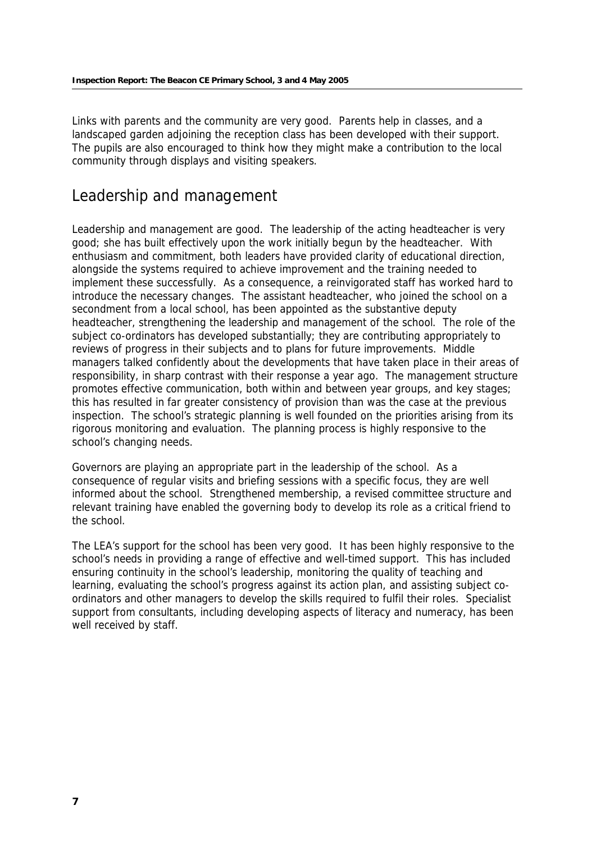Links with parents and the community are very good. Parents help in classes, and a landscaped garden adjoining the reception class has been developed with their support. The pupils are also encouraged to think how they might make a contribution to the local community through displays and visiting speakers.

### Leadership and management

Leadership and management are good. The leadership of the acting headteacher is very good; she has built effectively upon the work initially begun by the headteacher. With enthusiasm and commitment, both leaders have provided clarity of educational direction, alongside the systems required to achieve improvement and the training needed to implement these successfully. As a consequence, a reinvigorated staff has worked hard to introduce the necessary changes. The assistant headteacher, who joined the school on a secondment from a local school, has been appointed as the substantive deputy headteacher, strengthening the leadership and management of the school. The role of the subject co-ordinators has developed substantially; they are contributing appropriately to reviews of progress in their subjects and to plans for future improvements. Middle managers talked confidently about the developments that have taken place in their areas of responsibility, in sharp contrast with their response a year ago. The management structure promotes effective communication, both within and between year groups, and key stages; this has resulted in far greater consistency of provision than was the case at the previous inspection. The school's strategic planning is well founded on the priorities arising from its rigorous monitoring and evaluation. The planning process is highly responsive to the school's changing needs.

Governors are playing an appropriate part in the leadership of the school. As a consequence of regular visits and briefing sessions with a specific focus, they are well informed about the school. Strengthened membership, a revised committee structure and relevant training have enabled the governing body to develop its role as a critical friend to the school.

The LEA's support for the school has been very good. It has been highly responsive to the school's needs in providing a range of effective and well-timed support. This has included ensuring continuity in the school's leadership, monitoring the quality of teaching and learning, evaluating the school's progress against its action plan, and assisting subject coordinators and other managers to develop the skills required to fulfil their roles. Specialist support from consultants, including developing aspects of literacy and numeracy, has been well received by staff.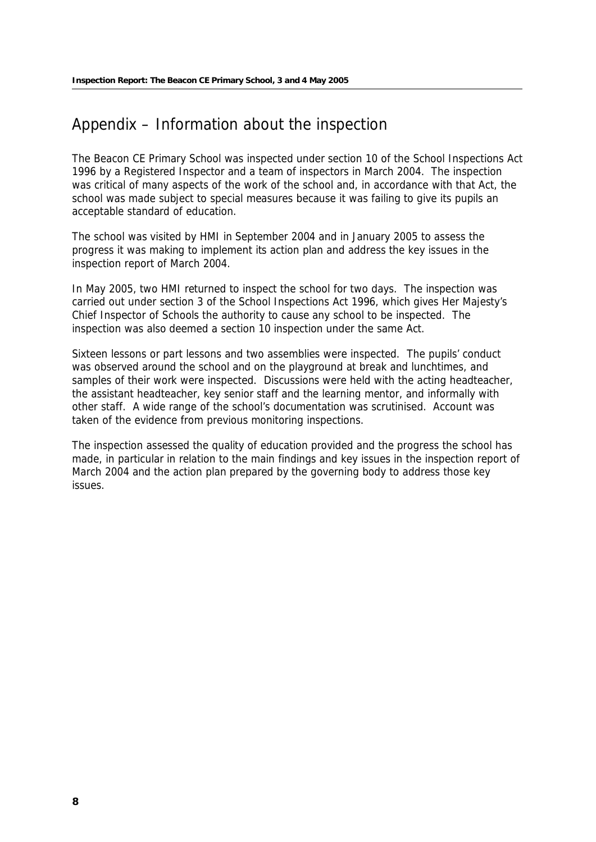# Appendix – Information about the inspection

The Beacon CE Primary School was inspected under section 10 of the School Inspections Act 1996 by a Registered Inspector and a team of inspectors in March 2004. The inspection was critical of many aspects of the work of the school and, in accordance with that Act, the school was made subject to special measures because it was failing to give its pupils an acceptable standard of education.

The school was visited by HMI in September 2004 and in January 2005 to assess the progress it was making to implement its action plan and address the key issues in the inspection report of March 2004.

In May 2005, two HMI returned to inspect the school for two days. The inspection was carried out under section 3 of the School Inspections Act 1996, which gives Her Majesty's Chief Inspector of Schools the authority to cause any school to be inspected. The inspection was also deemed a section 10 inspection under the same Act.

Sixteen lessons or part lessons and two assemblies were inspected. The pupils' conduct was observed around the school and on the playground at break and lunchtimes, and samples of their work were inspected. Discussions were held with the acting headteacher, the assistant headteacher, key senior staff and the learning mentor, and informally with other staff. A wide range of the school's documentation was scrutinised. Account was taken of the evidence from previous monitoring inspections.

The inspection assessed the quality of education provided and the progress the school has made, in particular in relation to the main findings and key issues in the inspection report of March 2004 and the action plan prepared by the governing body to address those key issues.